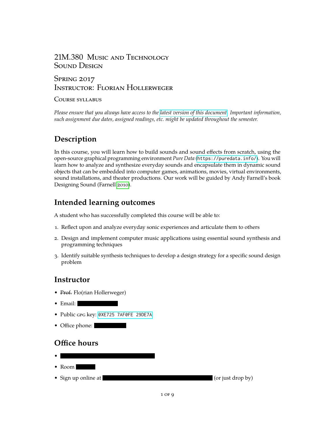### 21M.380 Music and Technology SOUND DESIGN

### **SPRING 2017** Instructor: Florian Hollerweger

#### COURSE SYLLABUS

*Please ensure that you always have access to the [latest version of this document.](https://web.mit.edu/course/21/21m.380/21m380_syllabus.pdf) Important information, such assignment due dates, assigned readings, etc. might be updated throughout the semester.*

# **Description**

In this course, you will learn how to build sounds and sound effects from scratch, using the open-source graphical programming environment *Pure Data* (<https://puredata.info/>). You will learn how to analyze and synthesize everyday sounds and encapsulate them in dynamic sound objects that can be embedded into computer games, animations, movies, virtual environments, sound installations, and theater productions. Our work will be guided by Andy Farnell's book Designing Sound (Farnell [2010\)](#page-3-0).

# **Intended learning outcomes**

A student who has successfully completed this course will be able to:

- 1. Reflect upon and analyze everyday sonic experiences and articulate them to others
- 2. Design and implement computer music applications using essential sound synthesis and programming techniques
- 3. Identify suitable synthesis techniques to develop a design strategy for a specific sound design problem

# **Instructor**

- Prof. Flo(rian Hollerweger)
- Email:
- Public gpg key: [0XE725 7AF0FE 29DE7A](https://pgp.mit.edu/pks/lookup?op=get&search=0xE7257AF0FE29DE7A)
- Office phone:

# **Office hours**

- • Room
- Sign up online at (or just drop by)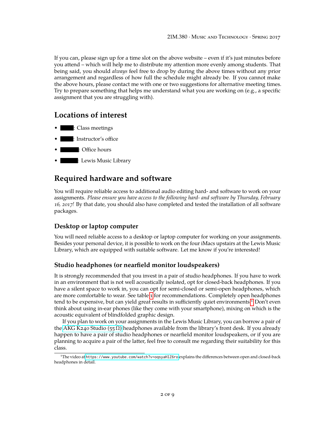If you can, please sign up for a time slot on the above website – even if it's just minutes before you attend – which will help me to distribute my attention more evenly among students. That being said, you should *always* feel free to drop by during the above times without any prior arrangement and regardless of how full the schedule might already be. If you cannot make the above hours, please contact me with one or two suggestions for alternative meeting times. Try to prepare something that helps me understand what you are working on (e.g., a specific assignment that you are struggling with).

### **Locations of interest**

- : Class meetings
- : Instructor's office
- : Office hours
- : Lewis Music Library

### **Required hardware and software**

You will require reliable access to additional audio editing hard- and software to work on your assignments. *Please ensure you have access to the following hard- and software by Thursday, February 16, 2017!* By that date, you should also have completed and tested the installation of all software packages.

#### **Desktop or laptop computer**

You will need reliable access to a desktop or laptop computer for working on your assignments. Besides your personal device, it is possible to work on the four iMacs upstairs at the Lewis Music Library, which are equipped with suitable software. Let me know if you're interested!

#### **Studio headphones (or nearfield monitor loudspeakers)**

It is strongly recommended that you invest in a pair of studio headphones. If you have to work in an environment that is not well acoustically isolated, opt for closed-back headphones. If you have a silent space to work in, you can opt for semi-closed or semi-open headphones, which are more comfortable to wear. See table [1](#page-2-0) for recommendations. Completely open headphones tend to be expensive, but can yield great results in sufficiently quiet environments.[1](#page-1-0) Don't even think about using in-ear phones (like they come with your smartphone), mixing on which is the acoustic equivalent of blindfolded graphic design.

If you plan to work on your assignments in the Lewis Music Library, you can borrow a pair of the AKG K240 Studio (55  $\Omega$ ) headphones available from the library's front desk. If you already happen to have a pair of studio headphones or nearfield monitor loudspeakers, or if you are planning to acquire a pair of the latter, feel free to consult me regarding their suitability for this class.

<span id="page-1-0"></span><sup>1</sup>The video at <https://www.youtube.com/watch?v=oqsyaHlZ6ro> explains the differences between open and closed-back headphones in detail.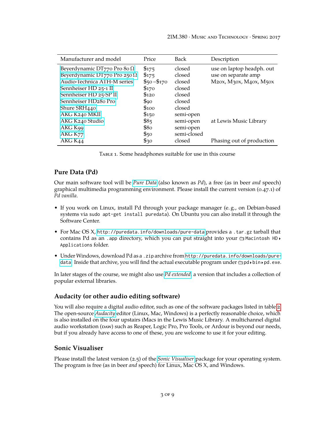<span id="page-2-0"></span>

| Manufacturer and model              | Price              | <b>Back</b> | Description               |
|-------------------------------------|--------------------|-------------|---------------------------|
| Beyerdynamic DT770 Pro 80 $\Omega$  | \$175              | closed      | use on laptop headph. out |
| Beyerdynamic DT770 Pro 250 $\Omega$ | \$175              | closed      | use on separate amp       |
| Audio-Technica ATH-M series         | $$50 - $170$       | closed      | M20x, M30x, M40x, M50x    |
| Sennheiser HD 25-1 II               | \$170              | closed      |                           |
| Sennheiser HD 25-SP II              | \$120              | closed      |                           |
| Sennheiser HD280 Pro                | $\mathcal{L}_{90}$ | closed      |                           |
| Shure SRH440                        | \$100              | closed      |                           |
| AKG K240 MKII                       | \$150              | semi-open   |                           |
| AKG K240 Studio                     | \$85               | semi-open   | at Lewis Music Library    |
| AKG K99                             | \$80               | semi-open   |                           |
| AKG K <sub>77</sub>                 | \$50               | semi-closed |                           |
| AKG K44                             | $\mathcal{F}30$    | closed      | Phasing out of production |

Table 1. Some headphones suitable for use in this course

#### **Pure Data (Pd)**

Our main software tool will be *[Pure Data](https://puredata.info/)* (also known as *Pd*), a free (as in beer *and* speech) graphical multimedia programming environment. Please install the current version (0.47.1) of *Pd vanilla*.

- If you work on Linux, install Pd through your package manager (e. g., on Debian-based systems via sudo apt-get install puredata). On Ubuntu you can also install it through the Software Center.
- For Mac OS X, <http://puredata.info/downloads/pure-data> provides a .tar.gz tarball that contains Pd as an .app directory, which you can put straight into your  $\bigoplus$  Macintosh HD $\rightarrow$ Applications folder.
- Under Windows, download Pd as a .zip archive from [http://puredata.info/downloads/pure](http://puredata.info/downloads/pure-data)[data](http://puredata.info/downloads/pure-data). Inside that archive, you will find the actual executable program under  $\oplus$  pd  $\longmapsto$  bin  $\longmapsto$  exe.

In later stages of the course, we might also use *[Pd extended](http://puredata.info/downloads/pd-extended)*, a version that includes a collection of popular external libraries.

#### **Audacity (or other audio editing software)**

You will also require a digital audio editor, such as one of the software packages listed in table [2.](#page-3-1) The open-source *[Audacity](http://www.audacityteam.org/)* editor (Linux, Mac, Windows) is a perfectly reasonable choice, which is also installed on the four upstairs iMacs in the Lewis Music Library. A multichannel digital audio workstation (DAW) such as Reaper, Logic Pro, Pro Tools, or Ardour is beyond our needs, but if you already have access to one of these, you are welcome to use it for your editing.

#### **Sonic Visualiser**

Please install the latest version (2.5) of the *[Sonic Visualiser](http://www.sonicvisualiser.org/)* package for your operating system. The program is free (as in beer *and* speech) for Linux, Mac OS X, and Windows.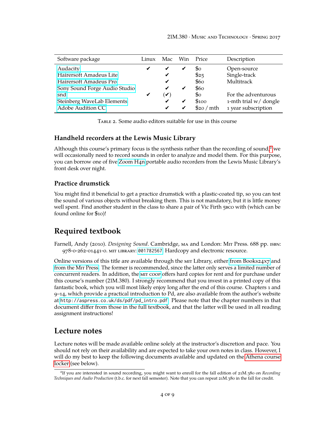<span id="page-3-1"></span>

| Software package              | Linux | Mac           | Win | Price                     | Description           |
|-------------------------------|-------|---------------|-----|---------------------------|-----------------------|
| Audacity                      | ✔     | ✔             | ✔   | So                        | Open-source           |
| Hairersoft Amadeus Lite       |       | ✔             |     | \$25                      | Single-track          |
| Hairersoft Amadeus Pro        |       | ✔             |     | \$60                      | Multitrack            |
| Sony Sound Forge Audio Studio |       | ✔             | ✔   | \$60                      |                       |
| snd                           | ✔     | $\mathcal{L}$ |     | $\mathbb{S}_{\mathrm{O}}$ | For the adventurous   |
| Steinberg WaveLab Elements    |       | ✔             | ✔   | \$100                     | 1-mth trial w/ dongle |
| Adobe Audition CC             |       | ✔             | ✔   | \$20 / mth                | 1 year subscription   |

Table 2. Some audio editors suitable for use in this course

#### **Handheld recorders at the Lewis Music Library**

Although this course's primary focus is the synthesis rather than the recording of sound,<sup>[2](#page-3-2)</sup> we will occasionally need to record sounds in order to analyze and model them. For this purpose, you can borrow one of five [Zoom H4n](https://www.zoom.co.jp/products/handy-recorder/h4nsp-handy-recorder) portable audio recorders from the Lewis Music Library's front desk over night.

#### **Practice drumstick**

You might find it beneficial to get a practice drumstick with a plastic-coated tip, so you can test the sound of various objects without breaking them. This is not mandatory, but it is little money well spent. Find another student in the class to share a pair of Vic Firth 5bco with (which can be found online for \$10)!

### **Required textbook**

<span id="page-3-0"></span>Farnell, Andy (2010). *Designing Sound*. Cambridge, ma and London: Mit Press. 688 pp. isbn: 978-0-262-01441-0. mit library: [001782567](https://library.mit.edu/item/001782567). Hardcopy and electronic resource.

Online versions of this title are available through the MIT Library, either [from Books24x7](http://library.books24x7.com.libproxy.mit.edu/toc.aspx?site=bbbga&bookid=47538) and [from the](http://mitpress-ebooks.mit.edu.libproxy.mit.edu/product/designing-sound) Mit Press. The former is recommended, since the latter only serves a limited number of concurrent readers. In addition, the [mit coop](http://mitcoopbooks.bncollege.com/webapp/wcs/stores/servlet/TBWizardView?catalogId=10001&langId=-1&storeId=52081) offers hard copies for rent and for purchase under this course's number (21M.380). I strongly recommend that you invest in a printed copy of this fantastic book, which you will most likely enjoy long after the end of this course. Chapters 1 and 9–14, which provide a practical introduction to Pd, are also available from the author's website at [http://aspress.co.uk/ds/pdf/pd\\_intro.pdf](http://aspress.co.uk/ds/pdf/pd_intro.pdf). Please note that the chapter numbers in that document differ from those in the full textbook, and that the latter will be used in all reading assignment instructions!

#### **Lecture notes**

Lecture notes will be made available online solely at the instructor's discretion and pace. You should not rely on their availability and are expected to take your own notes in class. However, I will do my best to keep the following documents available and updated on the [Athena course](#page-4-0) [locker](#page-4-0) (see below).

<span id="page-3-2"></span><sup>2</sup> If you are interested in sound recording, you might want to enroll for the fall edition of 21M.380 on *Recording Techniques and Audio Production* (t.b.c. for next fall semester). Note that you can repeat 21M.380 in the fall for credit.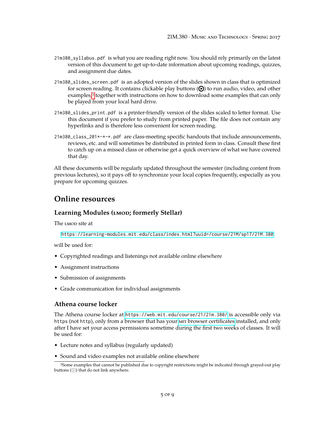- 21m380\_syllabus.pdf is what you are reading right now. You should rely primarily on the latest version of this document to get up-to-date information about upcoming readings, quizzes, and assignment due dates.
- 21m380\_slides\_screen.pdf is an adopted version of the slides shown in class that is optimized for screen reading. It contains clickable play buttons  $(\bigodot)$  to run audio, video, and other examples,<sup>[3](#page-4-1)</sup> together with instructions on how to download some examples that can only be played from your local hard drive.
- 21m380\_slides\_print.pdf is a printer-friendly version of the slides scaled to letter format. Use this document if you prefer to study from printed paper. The file does not contain any hyperlinks and is therefore less convenient for screen reading.
- 21m380\_class\_201\*-\*-\*.pdf are class-meeting specific handouts that include announcements, reviews, etc. and will sometimes be distributed in printed form in class. Consult these first to catch up on a missed class or otherwise get a quick overview of what we have covered that day.

All these documents will be regularly updated throughout the semester (including content from previous lectures), so it pays off to synchronize your local copies frequently, especially as you prepare for upcoming quizzes.

### **Online resources**

#### Learning Modules (LMOD; formerly Stellar)

The LMOD site at

<https://learning-modules.mit.edu/class/index.html?uuid=/course/21M/sp17/21M.380>

will be used for:

- Copyrighted readings and listenings not available online elsewhere
- Assignment instructions
- Submission of assignments
- Grade communication for individual assignments

#### <span id="page-4-0"></span>**Athena course locker**

The Athena course locker at <https://web.mit.edu/course/21/21m.380/> is accessible only via https (not http), only from a browser that has your mir [browser certificates](https://ist.mit.edu/certificates) installed, and only after I have set your access permissions sometime during the first two weeks of classes. It will be used for:

- Lecture notes and syllabus (regularly updated)
- Sound and video examples not available online elsewhere

<span id="page-4-1"></span><sup>3</sup>Some examples that cannot be published due to copyright restrictions might be indicated through grayed-out play buttons  $(\circled{)}$  that do not link anywhere.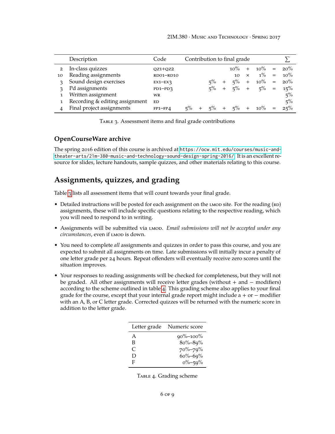<span id="page-5-0"></span>

|                | Description                    | Code        | Contribution to final grade |  |       |        |        |          |        |     |        |
|----------------|--------------------------------|-------------|-----------------------------|--|-------|--------|--------|----------|--------|-----|--------|
| $\overline{2}$ | In-class quizzes               | $OZ1+OZ2$   |                             |  |       |        | $10\%$ | $^{+}$   | $10\%$ |     | 20%    |
| 10             | Reading assignments            | RD01-RD10   |                             |  |       |        | 10     | $\times$ | $1\%$  | $=$ | $10\%$ |
| $\mathcal{R}$  | Sound design exercises         | $EX1-EX3$   |                             |  | $5\%$ | $^{+}$ | $5\%$  | $+$      | $10\%$ | $=$ | 20%    |
|                | Pd assignments                 | $PD1-PD3$   |                             |  | $5\%$ | $^{+}$ | $5\%$  | $^{+}$   | $5\%$  | $=$ | 15%    |
|                | Written assignment             | <b>WR</b>   |                             |  |       |        |        |          |        |     | 5%     |
|                | Recording & editing assignment | <b>ED</b>   |                             |  |       |        |        |          |        |     | $5\%$  |
|                | Final project assignments      | $FP1 - FP4$ | $5\%$                       |  | $5\%$ | $^{+}$ | $5\%$  | $+$      | $10\%$ | $=$ | 25%    |

TABLE 3. Assessment items and final grade contributions

#### **OpenCourseWare archive**

The spring 2016 edition of this course is archived at [https://ocw.mit.edu/courses/music-and](https://ocw.mit.edu/courses/music-and-theater-arts/21m-380-music-and-technology-sound-design-spring-2016/)[theater-arts/21m-380-music-and-technology-sound-design-spring-2016/](https://ocw.mit.edu/courses/music-and-theater-arts/21m-380-music-and-technology-sound-design-spring-2016/). It is an excellent resource for slides, lecture handouts, sample quizzes, and other materials relating to this course.

# **Assignments, quizzes, and grading**

Table [3](#page-5-0) lists all assessment items that will count towards your final grade.

- Detailed instructions will be posted for each assignment on the LMOD site. For the reading (RD) assignments, these will include specific questions relating to the respective reading, which you will need to respond to in writing.
- Assignments will be submitted via *LMOD. Email submissions will not be accepted under any* circumstances, even if LMOD is down.
- You need to complete *all* assignments and quizzes in order to pass this course, and you are expected to submit all assignments on time. Late submissions will initially incur a penalty of one letter grade per 24 hours. Repeat offenders will eventually receive zero scores until the situation improves.
- <span id="page-5-1"></span>• Your responses to reading assignments will be checked for completeness, but they will not be graded. All other assignments will receive letter grades (without + and − modifiers) according to the scheme outlined in table [4.](#page-5-1) This grading scheme also applies to your final grade for the course, except that your internal grade report might include a + or  $-$  modifier with an A, B, or C letter grade. Corrected quizzes will be returned with the numeric score in addition to the letter grade.

| Letter grade | Numeric score  |
|--------------|----------------|
| A            | $90\% - 100\%$ |
| В            | $80\% - 89\%$  |
| C            | $70\% - 79\%$  |
| $\Box$       | $60\% - 69\%$  |
| F            | $0\% - 59\%$   |

TABLE 4. Grading scheme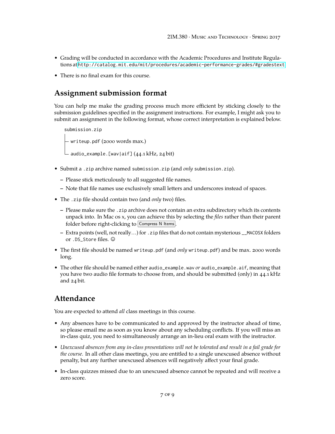- Grading will be conducted in accordance with the Academic Procedures and Institute Regulations at <http://catalog.mit.edu/mit/procedures/academic-performance-grades/#gradestext>
- There is no final exam for this course.

### **Assignment submission format**

You can help me make the grading process much more efficient by sticking closely to the submission guidelines specified in the assignment instructions. For example, I might ask you to submit an assignment in the following format, whose correct interpretation is explained below.

```
submission.zip
- writeup.pdf (2000 words max.)
audio_example.[wav|aif] (44.1 kHz, 24 bit)
```
- Submit a .zip archive named submission.zip (and *only* submission.zip).
	- **–** Please stick meticulously to all suggested file names.
	- **–** Note that file names use exclusively small letters and underscores instead of spaces.
- The .zip file should contain two (and *only* two) files.
	- **–** Please make sure the .zip archive does not contain an extra subdirectory which its contents unpack into. In Mac os x, you can achieve this by selecting the *files* rather than their parent folder before right-clicking to  $\boxed{\text{Compress N}$  Items.
	- **–** Extra points (well, not really…) for .zip files that do not contain mysterious \_\_MACOSX folders or .DS\_Store files. ©
- The first file should be named writeup.pdf (and *only* writeup.pdf) and be max. 2000 words long.
- The other file should be named either audio\_example.wav *or* audio\_example.aif, meaning that you have two audio file formats to choose from, and should be submitted (only) in 44.1 kHz and 24 bit.

# **Attendance**

You are expected to attend *all* class meetings in this course.

- Any absences have to be communicated to and approved by the instructor ahead of time, so please email me as soon as you know about any scheduling conflicts. If you will miss an in-class quiz, you need to simultaneously arrange an in-lieu oral exam with the instructor.
- *Unexcused absences from any in-class presentations will not be tolerated and result in a fail grade for the course.* In all other class meetings, you are entitled to a single unexcused absence without penalty, but any further unexcused absences will negatively affect your final grade.
- In-class quizzes missed due to an unexcused absence cannot be repeated and will receive a zero score.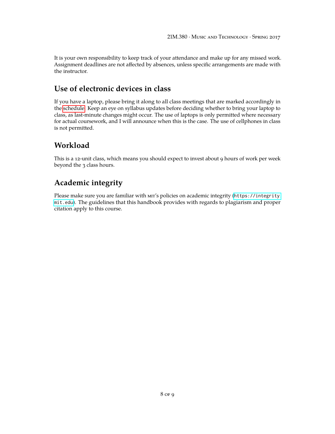It is your own responsibility to keep track of your attendance and make up for any missed work. Assignment deadlines are not affected by absences, unless specific arrangements are made with the instructor.

# **Use of electronic devices in class**

If you have a laptop, please bring it along to all class meetings that are marked accordingly in the [schedule.](#page-8-0) Keep an eye on syllabus updates before deciding whether to bring your laptop to class, as last-minute changes might occur. The use of laptops is only permitted where necessary for actual coursework, and I will announce when this is the case. The use of cellphones in class is not permitted.

### **Workload**

This is a 12-unit class, which means you should expect to invest about 9 hours of work per week beyond the 3 class hours.

# **Academic integrity**

Please make sure you are familiar with mir's policies on academic integrity ([https://integrity.](https://integrity.mit.edu) [mit.edu](https://integrity.mit.edu)). The guidelines that this handbook provides with regards to plagiarism and proper citation apply to this course.